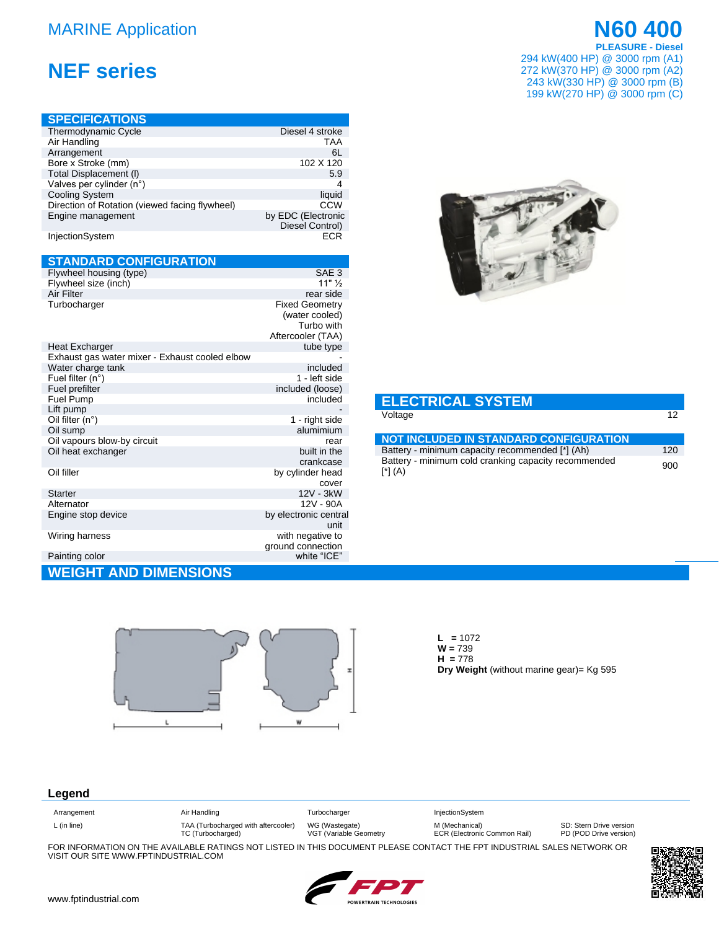## **MARINE Application**

# **NEF series**

| <b>SPECIFICATIONS</b>                          |                                       |
|------------------------------------------------|---------------------------------------|
| Thermodynamic Cycle                            | Diesel 4 stroke                       |
| Air Handling                                   | <b>TAA</b>                            |
| Arrangement                                    | 6L                                    |
| Bore x Stroke (mm)                             | 102 X 120                             |
| Total Displacement (I)                         | 5.9                                   |
| Valves per cylinder (n°)                       | 4                                     |
| <b>Cooling System</b>                          | liquid                                |
| Direction of Rotation (viewed facing flywheel) | CCW                                   |
| Engine management                              | by EDC (Electronic<br>Diesel Control) |
| InjectionSystem                                | ECR                                   |

### **STANDARD CONFIGURATION**

| Flywheel housing (type)                        | SAE 3                                                                      |
|------------------------------------------------|----------------------------------------------------------------------------|
| Flywheel size (inch)                           | $11"$ $\frac{1}{2}$                                                        |
| Air Filter                                     | rear side                                                                  |
| Turbocharger                                   | <b>Fixed Geometry</b><br>(water cooled)<br>Turbo with<br>Aftercooler (TAA) |
| Heat Excharger                                 | tube type                                                                  |
| Exhaust gas water mixer - Exhaust cooled elbow |                                                                            |
| Water charge tank                              | included                                                                   |
| Fuel filter $(n^{\circ})$                      | 1 - left side                                                              |
| Fuel prefilter                                 | included (loose)                                                           |
| Fuel Pump                                      | included                                                                   |
| Lift pump                                      |                                                                            |
| Oil filter $(n^{\circ})$                       | 1 - right side                                                             |
| Oil sump                                       | alumimium                                                                  |
| Oil vapours blow-by circuit                    | rear                                                                       |
| Oil heat exchanger                             | built in the<br>crankcase                                                  |
| Oil filler                                     | by cylinder head                                                           |
|                                                | cover                                                                      |
| <b>Starter</b>                                 | 12V - 3kW                                                                  |
| Alternator                                     | 12V - 90A                                                                  |
| Engine stop device                             | by electronic central<br>unit                                              |
| Wiring harness                                 | with negative to<br>ground connection                                      |
| Painting color                                 | white "ICE"                                                                |
| <b>AND DIMENSIONS</b><br>GH                    |                                                                            |



**N60 400** 

**PLEASURE - Diesel** 

294 kW(400 HP) @ 3000 rpm (A1)

272 kW(370 HP) @ 3000 rpm (A2)



#### **ELECTRICAL SYSTEM** Voltage

| <b>NOT INCLUDED IN STANDARD CONFIGURATION</b>                   |     |
|-----------------------------------------------------------------|-----|
| Battery - minimum capacity recommended [*] (Ah)                 | 120 |
| Battery - minimum cold cranking capacity recommended<br>[*] (A) | 900 |



 $L = 1072$  $W = 739$  $H = 778$ Dry Weight (without marine gear) = Kg 595

### Legend

| Arrangement | Air Handling                        | Turbocharger           | <b>InjectionSystem</b>       |                         |
|-------------|-------------------------------------|------------------------|------------------------------|-------------------------|
| L (in line) | TAA (Turbocharged with aftercooler) | WG (Wastegate)         | M (Mechanical)               | SD: Stern Drive version |
|             | TC (Turbocharged)                   | VGT (Variable Geometry | ECR (Electronic Common Rail) | PD (POD Drive version)  |

FOR INFORMATION ON THE AVAILABLE RATINGS NOT LISTED IN THIS DOCUMENT PLEASE CONTACT THE FPT INDUSTRIAL SALES NETWORK OR VISIT OUR SITE WWW.FPTINDUSTRIAL.COM



 $12$